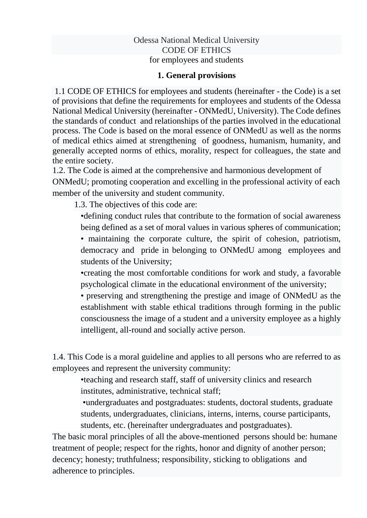#### Odessa National Medical University CODE OF ETHICS for employees and students

#### **1. General provisions**

1.1 CODE OF ETHICS for employees and students (hereinafter - the Code) is a set of provisions that define the requirements for employees and students of the Odessa National Medical University (hereinafter - ONMedU, University). The Code defines the standards of conduct and relationships of the parties involved in the educational process. The Code is based on the moral essence of ONMedU as well as the norms of medical ethics aimed at strengthening of goodness, humanism, humanity, and generally accepted norms of ethics, morality, respect for colleagues, the state and the entire society.

1.2. The Code is aimed at the comprehensive and harmonious development of ONMedU; promoting cooperation and excelling in the professional activity of each member of the university and student community.

1.3. The objectives of this code are:

•defining conduct rules that contribute to the formation of social awareness being defined as a set of moral values in various spheres of communication;

• maintaining the corporate culture, the spirit of cohesion, patriotism, democracy and pride in belonging to ONMedU among employees and students of the University;

•creating the most comfortable conditions for work and study, a favorable psychological climate in the educational environment of the university;

• preserving and strengthening the prestige and image of ONMedU as the establishment with stable ethical traditions through forming in the public consciousness the image of a student and a university employee as a highly intelligent, all-round and socially active person.

1.4. This Code is a moral guideline and applies to all persons who are referred to as employees and represent the university community:

•teaching and research staff, staff of university clinics and research institutes, administrative, technical staff;

•undergraduates and postgraduates: students, doctoral students, graduate students, undergraduates, clinicians, interns, interns, course participants, students, etc. (hereinafter undergraduates and postgraduates).

The basic moral principles of all the above-mentioned persons should be: humane treatment of people; respect for the rights, honor and dignity of another person; decency; honesty; truthfulness; responsibility, sticking to obligations and adherence to principles.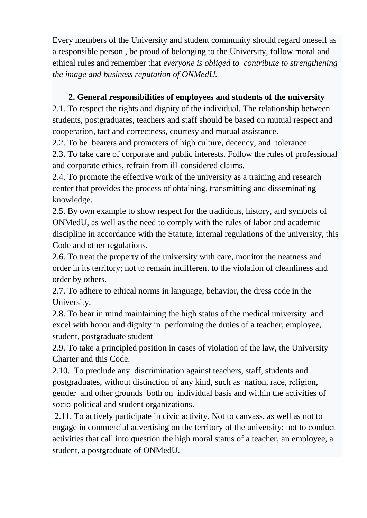Every members of the University and student community should regard oneself as a responsible person , be proud of belonging to the University, follow moral and ethical rules and remember that *everyone is obliged to contribute to strengthening the image and business reputation of ONMedU.* 

### **2. General responsibilities of employees and students of the university**

2.1. To respect the rights and dignity of the individual. The relationship between students, postgraduates, teachers and staff should be based on mutual respect and cooperation, tact and correctness, courtesy and mutual assistance.

2.2. To be bearers and promoters of high culture, decency, and tolerance.

2.3. To take care of corporate and public interests. Follow the rules of professional and corporate ethics, refrain from ill-considered claims.

2.4. To promote the effective work of the university as a training and research center that provides the process of obtaining, transmitting and disseminating knowledge.

2.5. By own example to show respect for the traditions, history, and symbols of ONMedU, as well as the need to comply with the rules of labor and academic discipline in accordance with the Statute, internal regulations of the university, this Code and other regulations.

2.6. To treat the property of the university with care, monitor the neatness and order in its territory; not to remain indifferent to the violation of cleanliness and order by others.

2.7. To adhere to ethical norms in language, behavior, the dress code in the University.

2.8. To bear in mind maintaining the high status of the medical university and excel with honor and dignity in performing the duties of a teacher, employee, student, postgraduate student

2.9. To take a principled position in cases of violation of the law, the University Charter and this Code.

2.10. To preclude any discrimination against teachers, staff, students and postgraduates, without distinction of any kind, such as nation, race, religiоn, gender and other grounds both on individual basis and within the activities of socio-political and student organizations.

2.11. To actively participate in civic activity. Not to canvass, as well as not to engage in commercial advertising on the territory of the university; not to conduct activities that call into question the high moral status of a teacher, an employee, a student, a postgraduate of ONMedU.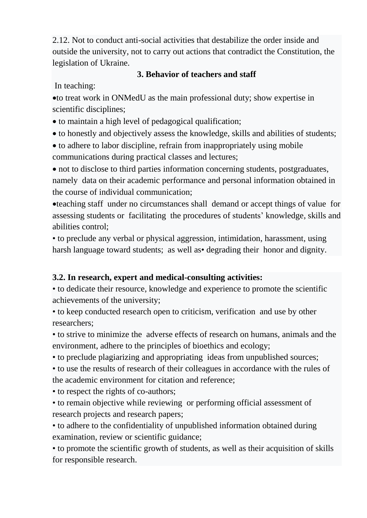2.12. Not to conduct anti-social activities that destabilize the order inside and outside the university, not to carry out actions that contradict the Constitution, the legislation of Ukraine.

### **3. Behavior of teachers and staff**

In teaching:

•to treat work in ONMedU as the main professional duty; show expertise in scientific disciplines;

- to maintain a high level of pedagogical qualification;
- to honestly and objectively assess the knowledge, skills and abilities of students;
- to adhere to labor discipline, refrain from inappropriately using mobile communications during practical classes and lectures;

• not to disclose to third parties information concerning students, postgraduates, namely data on their academic performance and personal information obtained in the course of individual communication;

•teaching staff under no circumstances shall demand or accept things of value for assessing students or facilitating the procedures of students' knowledge, skills and abilities control;

• to preclude any verbal or physical aggression, intimidation, harassment, using harsh language toward students; as well as degrading their honor and dignity.

## **3.2. In research, expert and medical-consulting activities:**

• to dedicate their resource, knowledge and experience to promote the scientific achievements of the university;

• to keep conducted research open to criticism, verification and use by other researchers;

• to strive to minimize the adverse effects of research on humans, animals and the environment, adhere to the principles of bioethics and ecology;

• to preclude plagiarizing and appropriating ideas from unpublished sources;

• to use the results of research of their colleagues in accordance with the rules of the academic environment for citation and reference;

• to respect the rights of co-authors;

• to remain objective while reviewing or performing official assessment of research projects and research papers;

• to adhere to the confidentiality of unpublished information obtained during examination, review or scientific guidance;

• to promote the scientific growth of students, as well as their acquisition of skills for responsible research.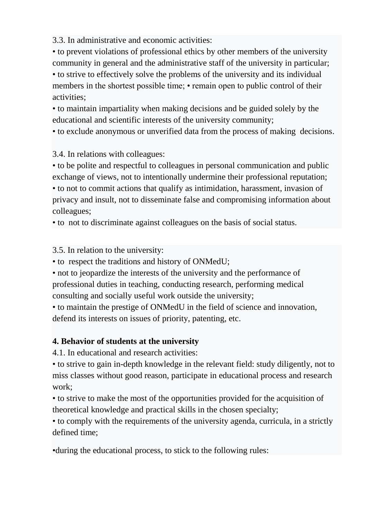3.3. In administrative and economic activities:

• to prevent violations of professional ethics by other members of the university community in general and the administrative staff of the university in particular; • to strive to effectively solve the problems of the university and its individual

members in the shortest possible time; • remain open to public control of their activities;

• to maintain impartiality when making decisions and be guided solely by the educational and scientific interests of the university community;

• to exclude anonymous or unverified data from the process of making decisions.

3.4. In relations with colleagues:

• to be polite and respectful to colleagues in personal communication and public exchange of views, not to intentionally undermine their professional reputation; • to not to commit actions that qualify as intimidation, harassment, invasion of privacy and insult, not to disseminate false and compromising information about colleagues;

• to not to discriminate against colleagues on the basis of social status.

3.5. In relation to the university:

• to respect the traditions and history of ONMedU;

• not to jeopardize the interests of the university and the performance of professional duties in teaching, conducting research, performing medical consulting and socially useful work outside the university;

• to maintain the prestige of ONMedU in the field of science and innovation, defend its interests on issues of priority, patenting, etc.

#### **4. Behavior of students at the university**

4.1. In educational and research activities:

• to strive to gain in-depth knowledge in the relevant field: study diligently, not to miss classes without good reason, participate in educational process and research work;

• to strive to make the most of the opportunities provided for the acquisition of theoretical knowledge and practical skills in the chosen specialty;

• to comply with the requirements of the university agenda, curricula, in a strictly defined time;

•during the educational process, to stick to the following rules: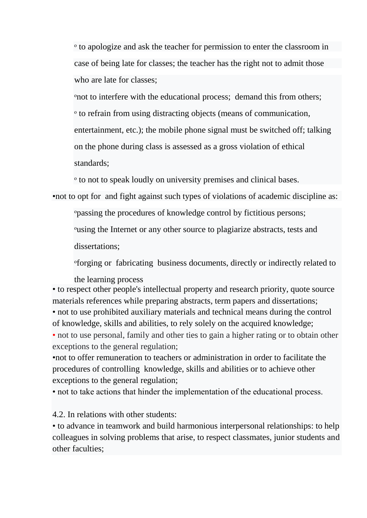ᵒ to apologize and ask the teacher for permission to enter the classroom in case of being late for classes; the teacher has the right not to admit those who are late for classes;

ᵒnot to interfere with the educational process; demand this from others; ᵒ to refrain from using distracting objects (means of communication, entertainment, etc.); the mobile phone signal must be switched off; talking on the phone during class is assessed as a gross violation of ethical standards;

ᵒ to not to speak loudly on university premises and clinical bases.

•not to opt for and fight against such types of violations of academic discipline as:

ᵒpassing the procedures of knowledge control by fictitious persons;

ᵒusing the Internet or any other source to plagiarize abstracts, tests and

dissertations;

ᵒforging or fabricating business documents, directly or indirectly related to

the learning process

• to respect other people's intellectual property and research priority, quote source materials references while preparing abstracts, term papers and dissertations; • not to use prohibited auxiliary materials and technical means during the control of knowledge, skills and abilities, to rely solely on the acquired knowledge; • not to use personal, family and other ties to gain a higher rating or to obtain other

exceptions to the general regulation;

•not to offer remuneration to teachers or administration in order to facilitate the procedures of controlling knowledge, skills and abilities or to achieve other exceptions to the general regulation;

• not to take actions that hinder the implementation of the educational process.

4.2. In relations with other students:

• to advance in teamwork and build harmonious interpersonal relationships: to help colleagues in solving problems that arise, to respect classmates, junior students and other faculties;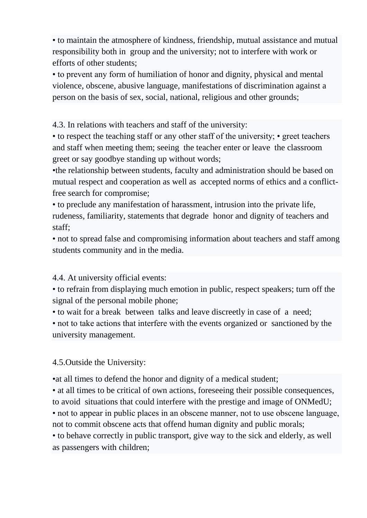• to maintain the atmosphere of kindness, friendship, mutual assistance and mutual responsibility both in group and the university; not to interfere with work or efforts of other students;

• to prevent any form of humiliation of honor and dignity, physical and mental violence, obscene, abusive language, manifestations of discrimination against a person on the basis of sex, social, national, religious and other grounds;

4.3. In relations with teachers and staff of the university:

• to respect the teaching staff or any other staff of the university; • greet teachers and staff when meeting them; seeing the teacher enter or leave the classroom greet or say goodbye standing up without words;

•the relationship between students, faculty and administration should be based on mutual respect and cooperation as well as accepted norms of ethics and a conflictfree search for compromise;

• to preclude any manifestation of harassment, intrusion into the private life, rudeness, familiarity, statements that degrade honor and dignity of teachers and staff;

• not to spread false and compromising information about teachers and staff among students community and in the media.

4.4. At university official events:

• to refrain from [displayi](https://dictionary.cambridge.org/dictionary/english/display)ng much emotion in [public,](https://dictionary.cambridge.org/dictionary/english/public) respect speakers; turn off the signal of the personal mobile phone;

• to wait for a break between talks and leave discreetly in case of a need;

• not to take actions that interfere with the events organized or sanctioned by the university management.

#### 4.5.Outside the University:

•at all times to defend the honor and dignity of a medical student;

• at all times to be critical of own actions, foreseeing their possible consequences, to avoid situations that could interfere with the prestige and image of ONMedU; • not to appear in public places in an obscene manner, not to use obscene language, not to commit obscene acts that offend human dignity and public morals;

• to behave correctly in public transport, give way to the sick and elderly, as well as passengers with children;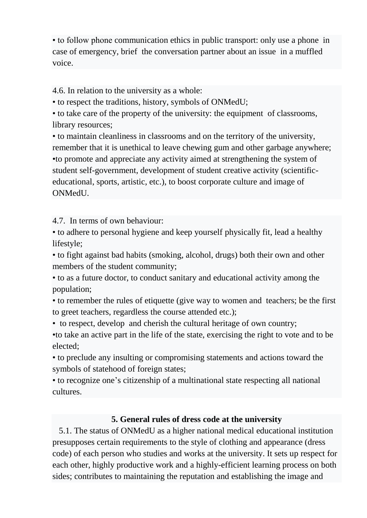• to follow phone communication ethics in public transport: only use a phone in case of emergency, brief the conversation partner about an issue in a muffled voice.

4.6. In relation to the university as a whole:

• to respect the traditions, history, symbols of ONMedU;

• to take care of the property of the university: the equipment of classrooms, library resources;

• to maintain cleanliness in classrooms and on the territory of the university, remember that it is unethical to leave chewing gum and other garbage anywhere; •to promote and appreciate any activity aimed at strengthening the system of student self-government, development of student creative activity (scientificeducational, sports, artistic, etc.), to boost corporate culture and image of ONMedU.

4.7. In terms of own behaviour:

• to adhere to personal hygiene and keep yourself physically fit, lead a healthy lifestyle;

• to fight against bad habits (smoking, alcohol, drugs) both their own and other members of the student community;

• to as a future doctor, to conduct sanitary and educational activity among the population;

• to remember the rules of etiquette (give way to women and teachers; be the first to greet teachers, regardless the course attended etc.);

• to respect, develop and cherish the cultural heritage of own country;

•to take an active part in the life of the state, exercising the right to vote and to be elected;

• to preclude any insulting or compromising statements and actions toward the symbols of statehood of foreign states;

• to recognize one's citizenship of a multinational state respecting all national cultures.

## **5. General rules of dress code at the university**

 5.1. The status of ONMedU as a higher national medical educational institution presupposes certain requirements to the style of clothing and appearance (dress code) of each person who studies and works at the university. It sets up respect for each other, highly productive work and a highly-efficient learning process on both sides; contributes to maintaining the reputation and establishing the image and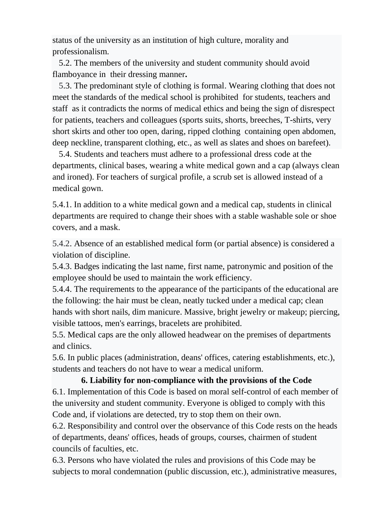status of the university as an institution of high culture, morality and professionalism.

 5.2. The members of the university and student community should avoid flamboyance in their [dressi](https://dictionary.cambridge.org/dictionary/english/dress)ng manner**.**

 5.3. The predominant style of clothing is formal. Wearing clothing that does not meet the standards of the medical school is prohibited for students, teachers and staff as it contradicts the norms of medical ethics and being the sign of disrespect for patients, teachers and colleagues (sports suits, shorts, breeches, T-shirts, very short skirts and other too open, daring, ripped clothing containing open abdomen, deep neckline, transparent clothing, etc., as well as slates and shoes on barefeet).

 5.4. Students and teachers must adhere to a professional dress code at the departments, clinical bases, wearing a white medical gown and a cap (always clean and ironed). For teachers of surgical profile, a scrub set is allowed instead of a medical gown.

5.4.1. In addition to a white medical gown and a medical cap, students in clinical departments are required to change their shoes with a stable washable sole or shoe covers, and a mask.

5.4.2. Absence of an established medical form (or partial absence) is considered a violation of discipline.

5.4.3. Badges indicating the last name, first name, patronymic and position of the employee should be used to maintain the work efficiency.

5.4.4. The requirements to the appearance of the participants of the educational are the following: the hair must be clean, neatly tucked under a medical cap; clean hands with short nails, dim manicure. Massive, bright jewelry or makeup; piercing, visible tattoos, men's earrings, bracelets are prohibited.

5.5. Medical caps are the only allowed headwear on the premises of departments and clinics.

5.6. In public places (administration, deans' offices, catering establishments, etc.), students and teachers do not have to wear a medical uniform.

# **6. Liability for non-compliance with the provisions of the Code**  6.1. Implementation of this Code is based on moral self-control of each member of the university and student community. Everyone is obliged to comply with this Code and, if violations are detected, try to stop them on their own.

6.2. Responsibility and control over the observance of this Code rests on the heads of departments, deans' offices, heads of groups, courses, chairmen of student councils of faculties, etc.

6.3. Persons who have violated the rules and provisions of this Code may be subjects to moral condemnation (public discussion, etc.), administrative measures,